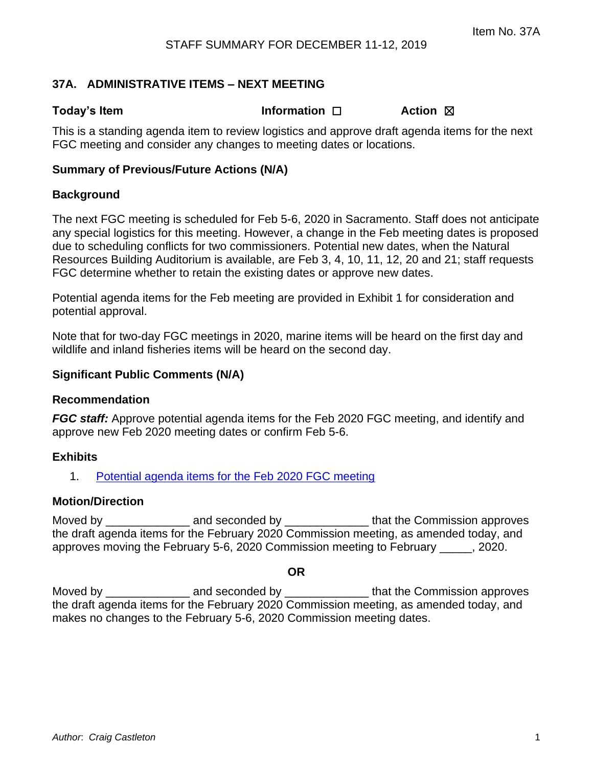# **37A. ADMINISTRATIVE ITEMS – NEXT MEETING**

**Today's Item Information** □ **Action** ⊠

This is a standing agenda item to review logistics and approve draft agenda items for the next FGC meeting and consider any changes to meeting dates or locations.

# **Summary of Previous/Future Actions (N/A)**

## **Background**

The next FGC meeting is scheduled for Feb 5-6, 2020 in Sacramento. Staff does not anticipate any special logistics for this meeting. However, a change in the Feb meeting dates is proposed due to scheduling conflicts for two commissioners. Potential new dates, when the Natural Resources Building Auditorium is available, are Feb 3, 4, 10, 11, 12, 20 and 21; staff requests FGC determine whether to retain the existing dates or approve new dates.

Potential agenda items for the Feb meeting are provided in Exhibit 1 for consideration and potential approval.

Note that for two-day FGC meetings in 2020, marine items will be heard on the first day and wildlife and inland fisheries items will be heard on the second day.

# **Significant Public Comments (N/A)**

#### **Recommendation**

*FGC staff:* Approve potential agenda items for the Feb 2020 FGC meeting, and identify and approve new Feb 2020 meeting dates or confirm Feb 5-6.

# **Exhibits**

1. [Potential agenda items for the Feb 2020 FGC meeting](#page-1-0)

# **Motion/Direction**

Moved by \_\_\_\_\_\_\_\_\_\_\_\_\_ and seconded by \_\_\_\_\_\_\_\_\_\_\_\_\_ that the Commission approves the draft agenda items for the February 2020 Commission meeting, as amended today, and approves moving the February 5-6, 2020 Commission meeting to February \_\_\_\_\_, 2020.

#### **OR**

Moved by \_\_\_\_\_\_\_\_\_\_\_\_\_\_\_\_\_\_\_\_\_\_ and seconded by \_\_\_\_\_\_\_\_\_\_\_\_\_\_\_\_\_\_\_\_\_that the Commission approves the draft agenda items for the February 2020 Commission meeting, as amended today, and makes no changes to the February 5-6, 2020 Commission meeting dates.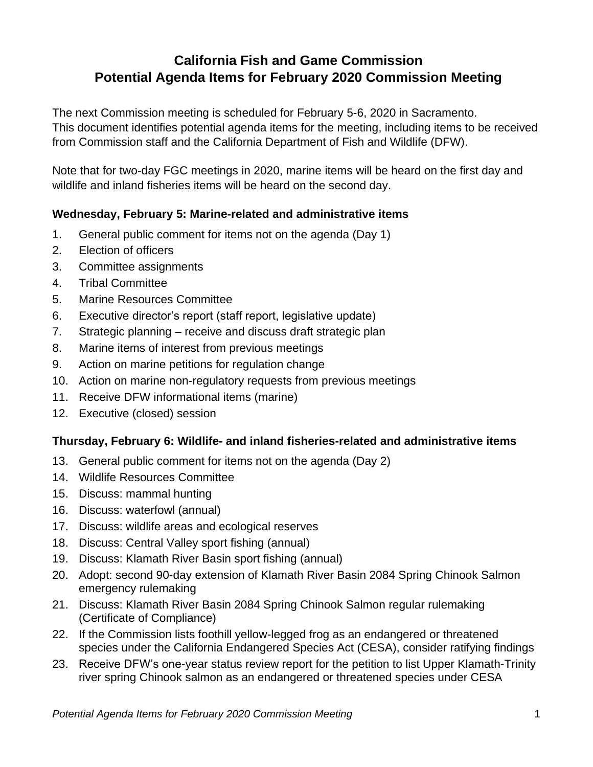# <span id="page-1-0"></span>**California Fish and Game Commission Potential Agenda Items for February 2020 Commission Meeting**

The next Commission meeting is scheduled for February 5-6, 2020 in Sacramento. This document identifies potential agenda items for the meeting, including items to be received from Commission staff and the California Department of Fish and Wildlife (DFW).

Note that for two-day FGC meetings in 2020, marine items will be heard on the first day and wildlife and inland fisheries items will be heard on the second day.

# **Wednesday, February 5: Marine-related and administrative items**

- 1. General public comment for items not on the agenda (Day 1)
- 2. Election of officers
- 3. Committee assignments
- 4. Tribal Committee
- 5. Marine Resources Committee
- 6. Executive director's report (staff report, legislative update)
- 7. Strategic planning receive and discuss draft strategic plan
- 8. Marine items of interest from previous meetings
- 9. Action on marine petitions for regulation change
- 10. Action on marine non-regulatory requests from previous meetings
- 11. Receive DFW informational items (marine)
- 12. Executive (closed) session

# **Thursday, February 6: Wildlife- and inland fisheries-related and administrative items**

- 13. General public comment for items not on the agenda (Day 2)
- 14. Wildlife Resources Committee
- 15. Discuss: mammal hunting
- 16. Discuss: waterfowl (annual)
- 17. Discuss: wildlife areas and ecological reserves
- 18. Discuss: Central Valley sport fishing (annual)
- 19. Discuss: Klamath River Basin sport fishing (annual)
- 20. Adopt: second 90-day extension of Klamath River Basin 2084 Spring Chinook Salmon emergency rulemaking
- 21. Discuss: Klamath River Basin 2084 Spring Chinook Salmon regular rulemaking (Certificate of Compliance)
- 22. If the Commission lists foothill yellow-legged frog as an endangered or threatened species under the California Endangered Species Act (CESA), consider ratifying findings
- 23. Receive DFW's one-year status review report for the petition to list Upper Klamath-Trinity river spring Chinook salmon as an endangered or threatened species under CESA